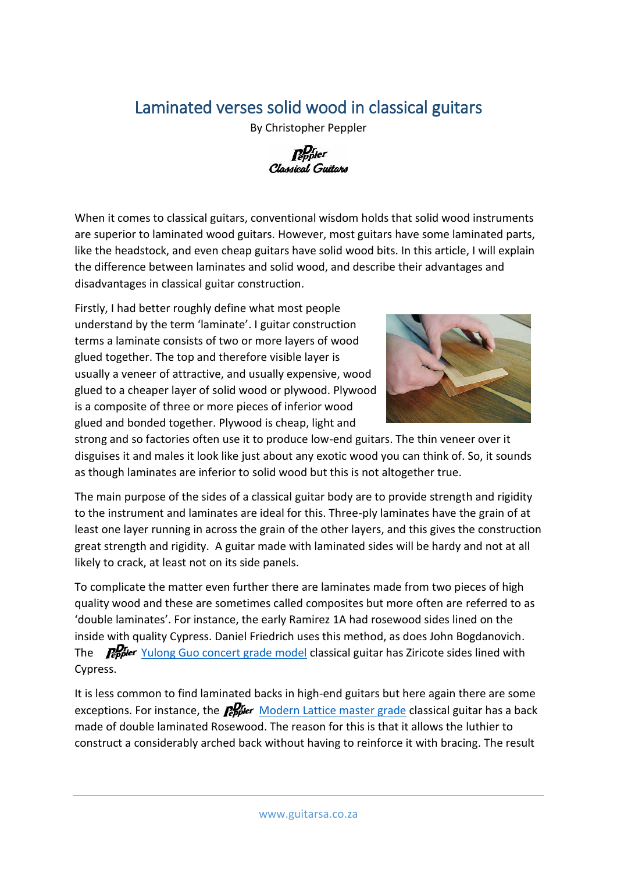## Laminated verses solid wood in classical guitars

By Christopher Peppler

Classical Guitars

When it comes to classical guitars, conventional wisdom holds that solid wood instruments are superior to laminated wood guitars. However, most guitars have some laminated parts, like the headstock, and even cheap guitars have solid wood bits. In this article, I will explain the difference between laminates and solid wood, and describe their advantages and disadvantages in classical guitar construction.

Firstly, I had better roughly define what most people understand by the term 'laminate'. I guitar construction terms a laminate consists of two or more layers of wood glued together. The top and therefore visible layer is usually a veneer of attractive, and usually expensive, wood glued to a cheaper layer of solid wood or plywood. Plywood is a composite of three or more pieces of inferior wood glued and bonded together. Plywood is cheap, light and



strong and so factories often use it to produce low-end guitars. The thin veneer over it disguises it and males it look like just about any exotic wood you can think of. So, it sounds as though laminates are inferior to solid wood but this is not altogether true.

The main purpose of the sides of a classical guitar body are to provide strength and rigidity to the instrument and laminates are ideal for this. Three-ply laminates have the grain of at least one layer running in across the grain of the other layers, and this gives the construction great strength and rigidity. A guitar made with laminated sides will be hardy and not at all likely to crack, at least not on its side panels.

To complicate the matter even further there are laminates made from two pieces of high quality wood and these are sometimes called composites but more often are referred to as 'double laminates'. For instance, the early Ramirez 1A had rosewood sides lined on the inside with quality Cypress. Daniel Friedrich uses this method, as does John Bogdanovich. The **Perfolger** [Yulong Guo concert grade model](http://guitarsa.co.za/guitars/aiersi-yulong-guo/) classical guitar has Ziricote sides lined with Cypress.

It is less common to find laminated backs in high-end guitars but here again there are some exceptions. For instance, the **Perfect** [Modern Lattice master grade](http://guitarsa.co.za/guitars/aiersi-modern-lattice/) classical guitar has a back made of double laminated Rosewood. The reason for this is that it allows the luthier to construct a considerably arched back without having to reinforce it with bracing. The result